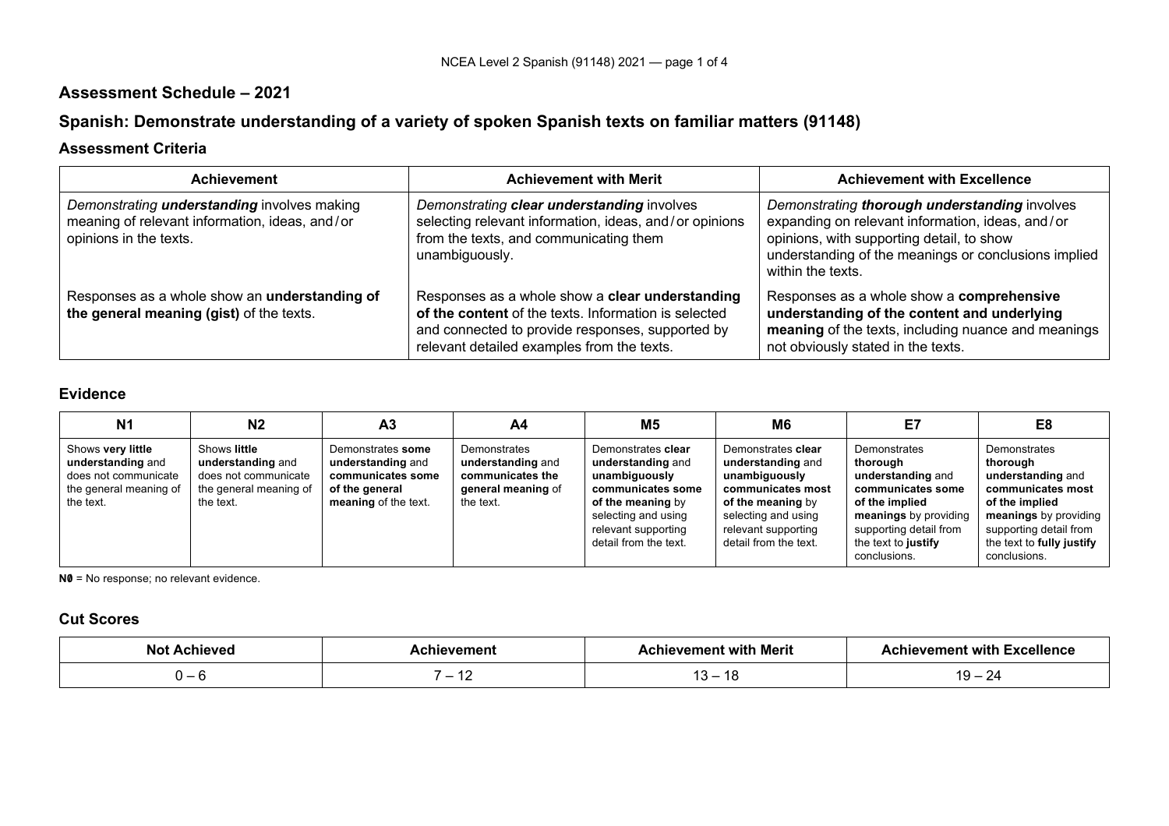## **Assessment Schedule – 2021**

# **Spanish: Demonstrate understanding of a variety of spoken Spanish texts on familiar matters (91148)**

## **Assessment Criteria**

| Achievement                                                                                                                    | <b>Achievement with Merit</b>                                                                                                                                                                             | <b>Achievement with Excellence</b>                                                                                                                                                                                          |
|--------------------------------------------------------------------------------------------------------------------------------|-----------------------------------------------------------------------------------------------------------------------------------------------------------------------------------------------------------|-----------------------------------------------------------------------------------------------------------------------------------------------------------------------------------------------------------------------------|
| Demonstrating <b>understanding</b> involves making<br>meaning of relevant information, ideas, and/or<br>opinions in the texts. | Demonstrating clear understanding involves<br>selecting relevant information, ideas, and/or opinions<br>from the texts, and communicating them<br>unambiguously.                                          | Demonstrating thorough understanding involves<br>expanding on relevant information, ideas, and/or<br>opinions, with supporting detail, to show<br>understanding of the meanings or conclusions implied<br>within the texts. |
| Responses as a whole show an understanding of<br>the general meaning (gist) of the texts.                                      | Responses as a whole show a clear understanding<br>of the content of the texts. Information is selected<br>and connected to provide responses, supported by<br>relevant detailed examples from the texts. | Responses as a whole show a comprehensive<br>understanding of the content and underlying<br>meaning of the texts, including nuance and meanings<br>not obviously stated in the texts.                                       |

## **Evidence**

| N <sub>1</sub>                                                                                        | N2                                                                                               | A <sub>3</sub>                                                                                        | A4                                                                                       | M5                                                                                                                                                                        | M6                                                                                                                                                                        | E7                                                                                                                                                                             | E8                                                                                                                                                                                   |
|-------------------------------------------------------------------------------------------------------|--------------------------------------------------------------------------------------------------|-------------------------------------------------------------------------------------------------------|------------------------------------------------------------------------------------------|---------------------------------------------------------------------------------------------------------------------------------------------------------------------------|---------------------------------------------------------------------------------------------------------------------------------------------------------------------------|--------------------------------------------------------------------------------------------------------------------------------------------------------------------------------|--------------------------------------------------------------------------------------------------------------------------------------------------------------------------------------|
| Shows very little<br>understanding and<br>does not communicate<br>the general meaning of<br>the text. | Shows little<br>understanding and<br>does not communicate<br>the general meaning of<br>the text. | Demonstrates some<br>understanding and<br>communicates some<br>of the general<br>meaning of the text. | Demonstrates<br>understanding and<br>communicates the<br>general meaning of<br>the text. | Demonstrates clear<br>understanding and<br>unambiguously<br>communicates some<br>of the meaning by<br>selecting and using<br>relevant supporting<br>detail from the text. | Demonstrates clear<br>understanding and<br>unambiguously<br>communicates most<br>of the meaning by<br>selecting and using<br>relevant supporting<br>detail from the text. | Demonstrates<br>thorough<br>understanding and<br>communicates some<br>of the implied<br>meanings by providing<br>supporting detail from<br>the text to justify<br>conclusions. | Demonstrates<br>thorough<br>understanding and<br>communicates most<br>of the implied<br>meanings by providing<br>supporting detail from<br>the text to fully justify<br>conclusions. |

**N0** = No response; no relevant evidence.

## **Cut Scores**

| Not<br><b>Achieved</b> | hievement                | hievement with Merit | <b>Achievement with Excellence</b> |
|------------------------|--------------------------|----------------------|------------------------------------|
|                        |                          | .                    | -4                                 |
|                        | $\overline{\phantom{a}}$ |                      |                                    |
|                        |                          |                      |                                    |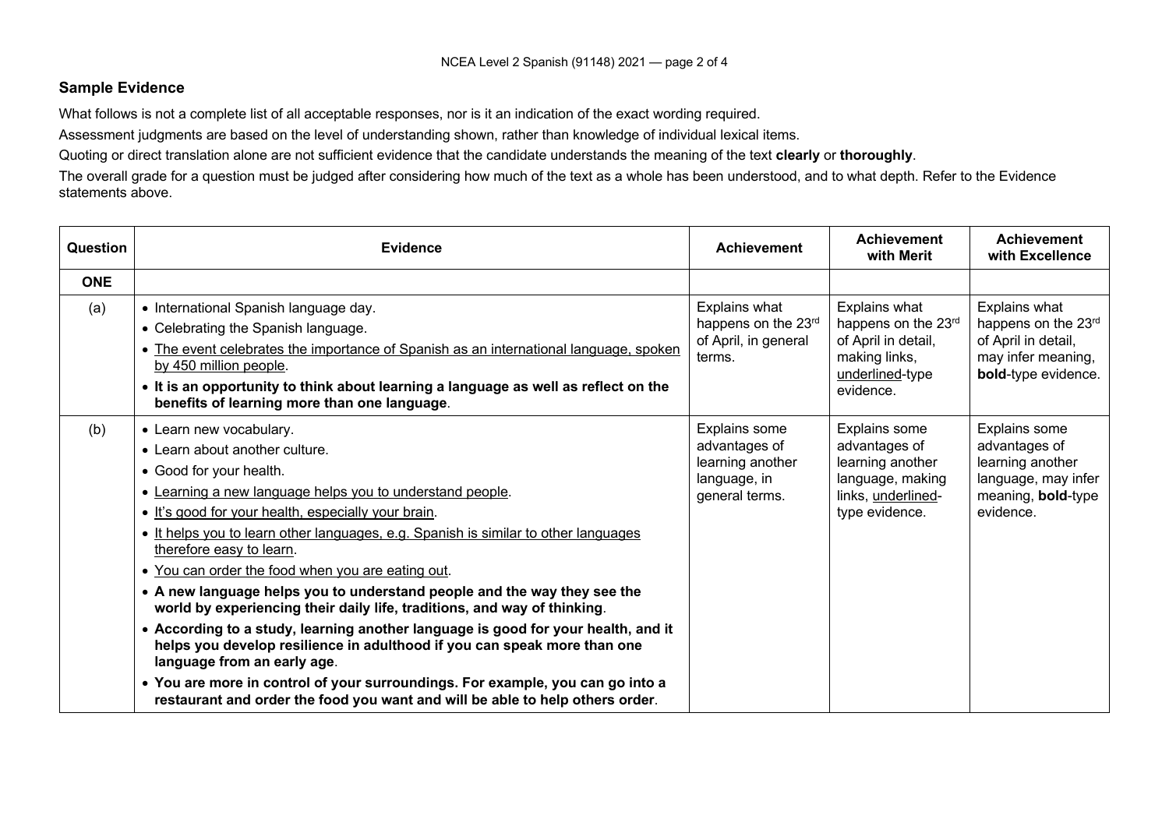#### **Sample Evidence**

What follows is not a complete list of all acceptable responses, nor is it an indication of the exact wording required.

Assessment judgments are based on the level of understanding shown, rather than knowledge of individual lexical items.

Quoting or direct translation alone are not sufficient evidence that the candidate understands the meaning of the text **clearly** or **thoroughly**.

The overall grade for a question must be judged after considering how much of the text as a whole has been understood, and to what depth. Refer to the Evidence statements above.

| <b>Question</b> | <b>Evidence</b>                                                                                                                                                                                                                                                                                                                                                                                                                                                                                                                                                                                                                                                                                                                                                                                                                                                                                             | <b>Achievement</b>                                                                   | <b>Achievement</b><br>with Merit                                                                               | <b>Achievement</b><br>with Excellence                                                                               |
|-----------------|-------------------------------------------------------------------------------------------------------------------------------------------------------------------------------------------------------------------------------------------------------------------------------------------------------------------------------------------------------------------------------------------------------------------------------------------------------------------------------------------------------------------------------------------------------------------------------------------------------------------------------------------------------------------------------------------------------------------------------------------------------------------------------------------------------------------------------------------------------------------------------------------------------------|--------------------------------------------------------------------------------------|----------------------------------------------------------------------------------------------------------------|---------------------------------------------------------------------------------------------------------------------|
| <b>ONE</b>      |                                                                                                                                                                                                                                                                                                                                                                                                                                                                                                                                                                                                                                                                                                                                                                                                                                                                                                             |                                                                                      |                                                                                                                |                                                                                                                     |
| (a)             | • International Spanish language day.<br>• Celebrating the Spanish language.<br>. The event celebrates the importance of Spanish as an international language, spoken<br>by 450 million people.<br>. It is an opportunity to think about learning a language as well as reflect on the<br>benefits of learning more than one language.                                                                                                                                                                                                                                                                                                                                                                                                                                                                                                                                                                      | Explains what<br>happens on the 23rd<br>of April, in general<br>terms.               | Explains what<br>happens on the 23rd<br>of April in detail,<br>making links,<br>underlined-type<br>evidence.   | Explains what<br>happens on the 23rd<br>of April in detail,<br>may infer meaning,<br>bold-type evidence.            |
| (b)             | • Learn new vocabulary.<br>• Learn about another culture.<br>• Good for your health.<br>• Learning a new language helps you to understand people.<br>. It's good for your health, especially your brain.<br>. It helps you to learn other languages, e.g. Spanish is similar to other languages<br>therefore easy to learn.<br>• You can order the food when you are eating out.<br>• A new language helps you to understand people and the way they see the<br>world by experiencing their daily life, traditions, and way of thinking.<br>• According to a study, learning another language is good for your health, and it<br>helps you develop resilience in adulthood if you can speak more than one<br>language from an early age.<br>• You are more in control of your surroundings. For example, you can go into a<br>restaurant and order the food you want and will be able to help others order. | Explains some<br>advantages of<br>learning another<br>language, in<br>general terms. | Explains some<br>advantages of<br>learning another<br>language, making<br>links, underlined-<br>type evidence. | Explains some<br>advantages of<br>learning another<br>language, may infer<br>meaning, <b>bold-type</b><br>evidence. |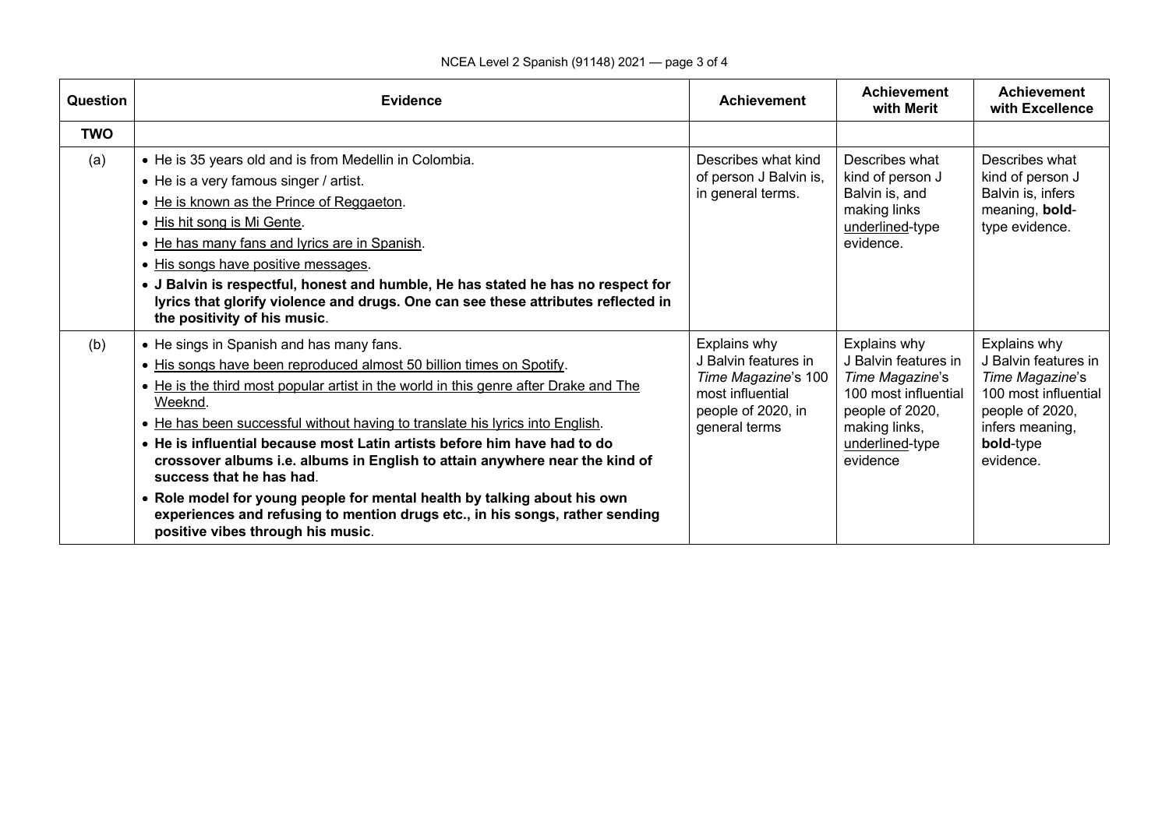| Question   | <b>Evidence</b>                                                                                                                                                                                                                                                                                                                                                                                                                                                                                                                                                                                                                                                                              | <b>Achievement</b>                                                                                                     | <b>Achievement</b><br>with Merit                                                                                                                   | <b>Achievement</b><br>with Excellence                                                                                                           |
|------------|----------------------------------------------------------------------------------------------------------------------------------------------------------------------------------------------------------------------------------------------------------------------------------------------------------------------------------------------------------------------------------------------------------------------------------------------------------------------------------------------------------------------------------------------------------------------------------------------------------------------------------------------------------------------------------------------|------------------------------------------------------------------------------------------------------------------------|----------------------------------------------------------------------------------------------------------------------------------------------------|-------------------------------------------------------------------------------------------------------------------------------------------------|
| <b>TWO</b> |                                                                                                                                                                                                                                                                                                                                                                                                                                                                                                                                                                                                                                                                                              |                                                                                                                        |                                                                                                                                                    |                                                                                                                                                 |
| (a)        | • He is 35 years old and is from Medellin in Colombia.<br>• He is a very famous singer / artist.<br>• He is known as the Prince of Reggaeton.<br>• His hit song is Mi Gente.<br>• He has many fans and lyrics are in Spanish.<br>• His songs have positive messages.<br>• J Balvin is respectful, honest and humble, He has stated he has no respect for<br>lyrics that glorify violence and drugs. One can see these attributes reflected in<br>the positivity of his music.                                                                                                                                                                                                                | Describes what kind<br>of person J Balvin is,<br>in general terms.                                                     | Describes what<br>kind of person J<br>Balvin is, and<br>making links<br>underlined-type<br>evidence.                                               | Describes what<br>kind of person J<br>Balvin is, infers<br>meaning, bold-<br>type evidence.                                                     |
| (b)        | • He sings in Spanish and has many fans.<br>. His songs have been reproduced almost 50 billion times on Spotify.<br>• He is the third most popular artist in the world in this genre after Drake and The<br>Weeknd.<br>. He has been successful without having to translate his lyrics into English.<br>• He is influential because most Latin artists before him have had to do<br>crossover albums i.e. albums in English to attain anywhere near the kind of<br>success that he has had.<br>. Role model for young people for mental health by talking about his own<br>experiences and refusing to mention drugs etc., in his songs, rather sending<br>positive vibes through his music. | Explains why<br>J Balvin features in<br>Time Magazine's 100<br>most influential<br>people of 2020, in<br>general terms | Explains why<br>J Balvin features in<br>Time Magazine's<br>100 most influential<br>people of 2020,<br>making links,<br>underlined-type<br>evidence | Explains why<br>J Balvin features in<br>Time Magazine's<br>100 most influential<br>people of 2020,<br>infers meaning,<br>bold-type<br>evidence. |